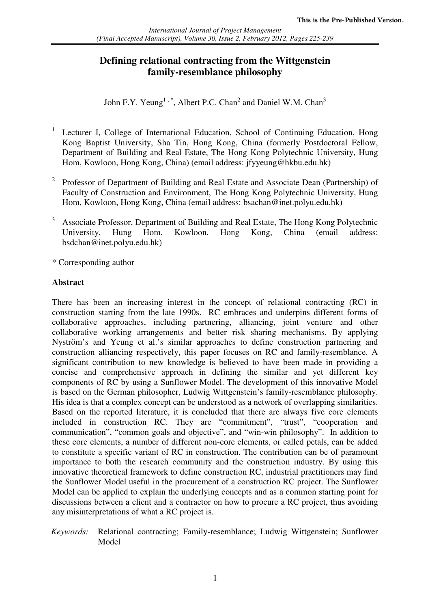# **Defining relational contracting from the Wittgenstein family-resemblance philosophy**

John F.Y. Yeung<sup>1,\*</sup>, Albert P.C. Chan<sup>2</sup> and Daniel W.M. Chan<sup>3</sup>

- 1 Lecturer I, College of International Education, School of Continuing Education, Hong Kong Baptist University, Sha Tin, Hong Kong, China (formerly Postdoctoral Fellow, Department of Building and Real Estate, The Hong Kong Polytechnic University, Hung Hom, Kowloon, Hong Kong, China) (email address: jfyyeung@hkbu.edu.hk)
- <sup>2</sup> Professor of Department of Building and Real Estate and Associate Dean (Partnership) of Faculty of Construction and Environment, The Hong Kong Polytechnic University, Hung Hom, Kowloon, Hong Kong, China (email address: bsachan@inet.polyu.edu.hk)
- 3 Associate Professor, Department of Building and Real Estate, The Hong Kong Polytechnic University, Hung Hom, Kowloon, Hong Kong, China (email address: bsdchan@inet.polyu.edu.hk)
- \* Corresponding author

### **Abstract**

There has been an increasing interest in the concept of relational contracting (RC) in construction starting from the late 1990s. RC embraces and underpins different forms of collaborative approaches, including partnering, alliancing, joint venture and other collaborative working arrangements and better risk sharing mechanisms. By applying Nyström's and Yeung et al.'s similar approaches to define construction partnering and construction alliancing respectively, this paper focuses on RC and family-resemblance. A significant contribution to new knowledge is believed to have been made in providing a concise and comprehensive approach in defining the similar and yet different key components of RC by using a Sunflower Model. The development of this innovative Model is based on the German philosopher, Ludwig Wittgenstein's family-resemblance philosophy. His idea is that a complex concept can be understood as a network of overlapping similarities. Based on the reported literature, it is concluded that there are always five core elements included in construction RC. They are "commitment", "trust", "cooperation and communication", "common goals and objective", and "win-win philosophy". In addition to these core elements, a number of different non-core elements, or called petals, can be added to constitute a specific variant of RC in construction. The contribution can be of paramount importance to both the research community and the construction industry. By using this innovative theoretical framework to define construction RC, industrial practitioners may find the Sunflower Model useful in the procurement of a construction RC project. The Sunflower Model can be applied to explain the underlying concepts and as a common starting point for discussions between a client and a contractor on how to procure a RC project, thus avoiding any misinterpretations of what a RC project is.

*Keywords:*Relational contracting; Family-resemblance; Ludwig Wittgenstein; Sunflower Model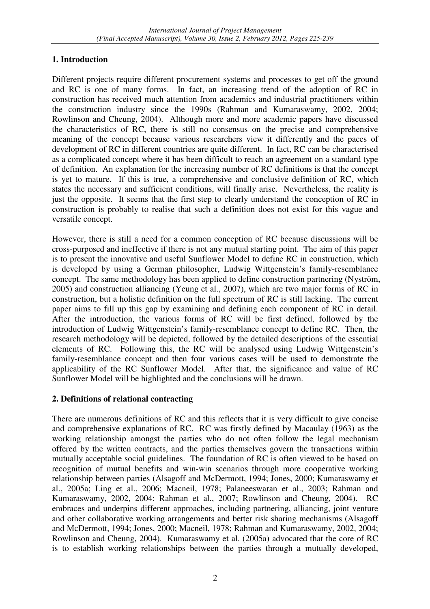# **1. Introduction**

Different projects require different procurement systems and processes to get off the ground and RC is one of many forms. In fact, an increasing trend of the adoption of RC in construction has received much attention from academics and industrial practitioners within the construction industry since the 1990s (Rahman and Kumaraswamy, 2002, 2004; Rowlinson and Cheung, 2004). Although more and more academic papers have discussed the characteristics of RC, there is still no consensus on the precise and comprehensive meaning of the concept because various researchers view it differently and the paces of development of RC in different countries are quite different. In fact, RC can be characterised as a complicated concept where it has been difficult to reach an agreement on a standard type of definition. An explanation for the increasing number of RC definitions is that the concept is yet to mature. If this is true, a comprehensive and conclusive definition of RC, which states the necessary and sufficient conditions, will finally arise. Nevertheless, the reality is just the opposite. It seems that the first step to clearly understand the conception of RC in construction is probably to realise that such a definition does not exist for this vague and versatile concept.

However, there is still a need for a common conception of RC because discussions will be cross-purposed and ineffective if there is not any mutual starting point. The aim of this paper is to present the innovative and useful Sunflower Model to define RC in construction, which is developed by using a German philosopher, Ludwig Wittgenstein's family-resemblance concept. The same methodology has been applied to define construction partnering (Nyström, 2005) and construction alliancing (Yeung et al., 2007), which are two major forms of RC in construction, but a holistic definition on the full spectrum of RC is still lacking. The current paper aims to fill up this gap by examining and defining each component of RC in detail. After the introduction, the various forms of RC will be first defined, followed by the introduction of Ludwig Wittgenstein's family-resemblance concept to define RC. Then, the research methodology will be depicted, followed by the detailed descriptions of the essential elements of RC. Following this, the RC will be analysed using Ludwig Wittgenstein's family-resemblance concept and then four various cases will be used to demonstrate the applicability of the RC Sunflower Model. After that, the significance and value of RC Sunflower Model will be highlighted and the conclusions will be drawn.

# **2. Definitions of relational contracting**

There are numerous definitions of RC and this reflects that it is very difficult to give concise and comprehensive explanations of RC. RC was firstly defined by Macaulay (1963) as the working relationship amongst the parties who do not often follow the legal mechanism offered by the written contracts, and the parties themselves govern the transactions within mutually acceptable social guidelines. The foundation of RC is often viewed to be based on recognition of mutual benefits and win-win scenarios through more cooperative working relationship between parties (Alsagoff and McDermott, 1994; Jones, 2000; Kumaraswamy et al., 2005a; Ling et al., 2006; Macneil, 1978; Palaneeswaran et al., 2003; Rahman and Kumaraswamy, 2002, 2004; Rahman et al., 2007; Rowlinson and Cheung, 2004). RC embraces and underpins different approaches, including partnering, alliancing, joint venture and other collaborative working arrangements and better risk sharing mechanisms (Alsagoff and McDermott, 1994; Jones, 2000; Macneil, 1978; Rahman and Kumaraswamy, 2002, 2004; Rowlinson and Cheung, 2004). Kumaraswamy et al. (2005a) advocated that the core of RC is to establish working relationships between the parties through a mutually developed,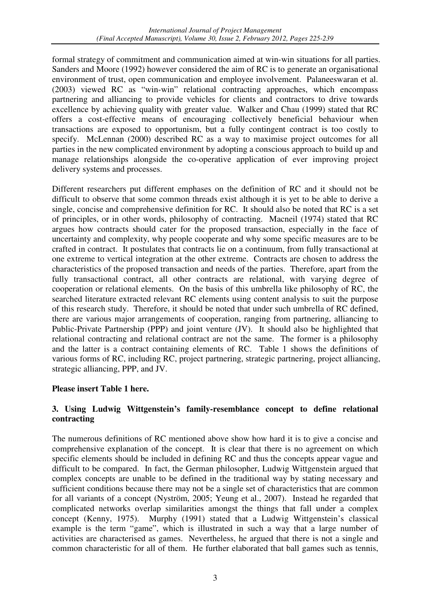formal strategy of commitment and communication aimed at win-win situations for all parties. Sanders and Moore (1992) however considered the aim of RC is to generate an organisational environment of trust, open communication and employee involvement. Palaneeswaran et al. (2003) viewed RC as "win-win" relational contracting approaches, which encompass partnering and alliancing to provide vehicles for clients and contractors to drive towards excellence by achieving quality with greater value. Walker and Chau (1999) stated that RC offers a cost-effective means of encouraging collectively beneficial behaviour when transactions are exposed to opportunism, but a fully contingent contract is too costly to specify. McLennan (2000) described RC as a way to maximise project outcomes for all parties in the new complicated environment by adopting a conscious approach to build up and manage relationships alongside the co-operative application of ever improving project delivery systems and processes.

Different researchers put different emphases on the definition of RC and it should not be difficult to observe that some common threads exist although it is yet to be able to derive a single, concise and comprehensive definition for RC. It should also be noted that RC is a set of principles, or in other words, philosophy of contracting. Macneil (1974) stated that RC argues how contracts should cater for the proposed transaction, especially in the face of uncertainty and complexity, why people cooperate and why some specific measures are to be crafted in contract. It postulates that contracts lie on a continuum, from fully transactional at one extreme to vertical integration at the other extreme. Contracts are chosen to address the characteristics of the proposed transaction and needs of the parties. Therefore, apart from the fully transactional contract, all other contracts are relational, with varying degree of cooperation or relational elements. On the basis of this umbrella like philosophy of RC, the searched literature extracted relevant RC elements using content analysis to suit the purpose of this research study. Therefore, it should be noted that under such umbrella of RC defined, there are various major arrangements of cooperation, ranging from partnering, alliancing to Public-Private Partnership (PPP) and joint venture (JV). It should also be highlighted that relational contracting and relational contract are not the same. The former is a philosophy and the latter is a contract containing elements of RC. Table 1 shows the definitions of various forms of RC, including RC, project partnering, strategic partnering, project alliancing, strategic alliancing, PPP, and JV.

### **Please insert Table 1 here.**

## **3. Using Ludwig Wittgenstein's family-resemblance concept to define relational contracting**

The numerous definitions of RC mentioned above show how hard it is to give a concise and comprehensive explanation of the concept. It is clear that there is no agreement on which specific elements should be included in defining RC and thus the concepts appear vague and difficult to be compared. In fact, the German philosopher, Ludwig Wittgenstein argued that complex concepts are unable to be defined in the traditional way by stating necessary and sufficient conditions because there may not be a single set of characteristics that are common for all variants of a concept (Nyström, 2005; Yeung et al., 2007). Instead he regarded that complicated networks overlap similarities amongst the things that fall under a complex concept (Kenny, 1975). Murphy (1991) stated that a Ludwig Wittgenstein's classical example is the term "game", which is illustrated in such a way that a large number of activities are characterised as games. Nevertheless, he argued that there is not a single and common characteristic for all of them. He further elaborated that ball games such as tennis,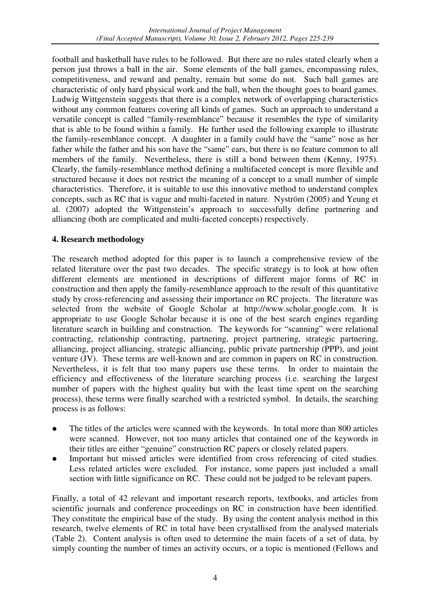football and basketball have rules to be followed. But there are no rules stated clearly when a person just throws a ball in the air. Some elements of the ball games, encompassing rules, competitiveness, and reward and penalty, remain but some do not. Such ball games are characteristic of only hard physical work and the ball, when the thought goes to board games. Ludwig Wittgenstein suggests that there is a complex network of overlapping characteristics without any common features covering all kinds of games. Such an approach to understand a versatile concept is called "family-resemblance" because it resembles the type of similarity that is able to be found within a family. He further used the following example to illustrate the family-resemblance concept. A daughter in a family could have the "same" nose as her father while the father and his son have the "same" ears, but there is no feature common to all members of the family. Nevertheless, there is still a bond between them (Kenny, 1975). Clearly, the family-resemblance method defining a multifaceted concept is more flexible and structured because it does not restrict the meaning of a concept to a small number of simple characteristics. Therefore, it is suitable to use this innovative method to understand complex concepts, such as RC that is vague and multi-faceted in nature. Nyström (2005) and Yeung et al. (2007) adopted the Wittgenstein's approach to successfully define partnering and alliancing (both are complicated and multi-faceted concepts) respectively.

## **4. Research methodology**

The research method adopted for this paper is to launch a comprehensive review of the related literature over the past two decades. The specific strategy is to look at how often different elements are mentioned in descriptions of different major forms of RC in construction and then apply the family-resemblance approach to the result of this quantitative study by cross-referencing and assessing their importance on RC projects. The literature was selected from the website of Google Scholar at http://www.scholar.google.com. It is appropriate to use Google Scholar because it is one of the best search engines regarding literature search in building and construction. The keywords for "scanning" were relational contracting, relationship contracting, partnering, project partnering, strategic partnering, alliancing, project alliancing, strategic alliancing, public private partnership (PPP), and joint venture (JV). These terms are well-known and are common in papers on RC in construction. Nevertheless, it is felt that too many papers use these terms. In order to maintain the efficiency and effectiveness of the literature searching process (i.e. searching the largest number of papers with the highest quality but with the least time spent on the searching process), these terms were finally searched with a restricted symbol. In details, the searching process is as follows:

- The titles of the articles were scanned with the keywords. In total more than 800 articles were scanned. However, not too many articles that contained one of the keywords in their titles are either "genuine" construction RC papers or closely related papers.
- Important but missed articles were identified from cross referencing of cited studies. Less related articles were excluded. For instance, some papers just included a small section with little significance on RC. These could not be judged to be relevant papers.

Finally, a total of 42 relevant and important research reports, textbooks, and articles from scientific journals and conference proceedings on RC in construction have been identified. They constitute the empirical base of the study. By using the content analysis method in this research, twelve elements of RC in total have been crystallised from the analysed materials (Table 2). Content analysis is often used to determine the main facets of a set of data, by simply counting the number of times an activity occurs, or a topic is mentioned (Fellows and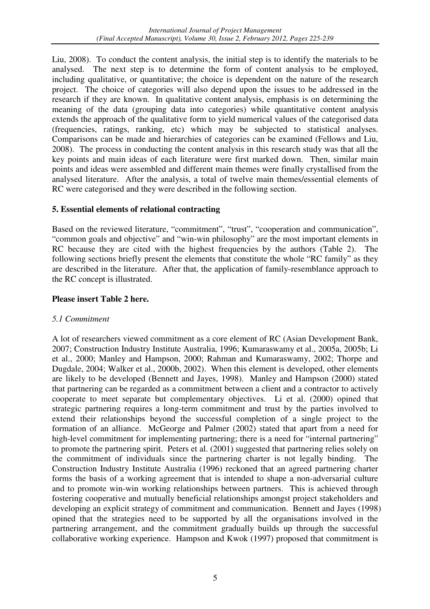Liu, 2008). To conduct the content analysis, the initial step is to identify the materials to be analysed. The next step is to determine the form of content analysis to be employed, including qualitative, or quantitative; the choice is dependent on the nature of the research project. The choice of categories will also depend upon the issues to be addressed in the research if they are known. In qualitative content analysis, emphasis is on determining the meaning of the data (grouping data into categories) while quantitative content analysis extends the approach of the qualitative form to yield numerical values of the categorised data (frequencies, ratings, ranking, etc) which may be subjected to statistical analyses. Comparisons can be made and hierarchies of categories can be examined (Fellows and Liu, 2008). The process in conducting the content analysis in this research study was that all the key points and main ideas of each literature were first marked down. Then, similar main points and ideas were assembled and different main themes were finally crystallised from the analysed literature. After the analysis, a total of twelve main themes/essential elements of RC were categorised and they were described in the following section.

### **5. Essential elements of relational contracting**

Based on the reviewed literature, "commitment", "trust", "cooperation and communication", "common goals and objective" and "win-win philosophy" are the most important elements in RC because they are cited with the highest frequencies by the authors (Table 2). The following sections briefly present the elements that constitute the whole "RC family" as they are described in the literature. After that, the application of family-resemblance approach to the RC concept is illustrated.

### **Please insert Table 2 here.**

### *5.1 Commitment*

A lot of researchers viewed commitment as a core element of RC (Asian Development Bank, 2007; Construction Industry Institute Australia, 1996; Kumaraswamy et al., 2005a, 2005b; Li et al., 2000; Manley and Hampson, 2000; Rahman and Kumaraswamy, 2002; Thorpe and Dugdale, 2004; Walker et al., 2000b, 2002). When this element is developed, other elements are likely to be developed (Bennett and Jayes, 1998). Manley and Hampson (2000) stated that partnering can be regarded as a commitment between a client and a contractor to actively cooperate to meet separate but complementary objectives. Li et al. (2000) opined that strategic partnering requires a long-term commitment and trust by the parties involved to extend their relationships beyond the successful completion of a single project to the formation of an alliance. McGeorge and Palmer (2002) stated that apart from a need for high-level commitment for implementing partnering; there is a need for "internal partnering" to promote the partnering spirit. Peters et al. (2001) suggested that partnering relies solely on the commitment of individuals since the partnering charter is not legally binding. The Construction Industry Institute Australia (1996) reckoned that an agreed partnering charter forms the basis of a working agreement that is intended to shape a non-adversarial culture and to promote win-win working relationships between partners. This is achieved through fostering cooperative and mutually beneficial relationships amongst project stakeholders and developing an explicit strategy of commitment and communication. Bennett and Jayes (1998) opined that the strategies need to be supported by all the organisations involved in the partnering arrangement, and the commitment gradually builds up through the successful collaborative working experience. Hampson and Kwok (1997) proposed that commitment is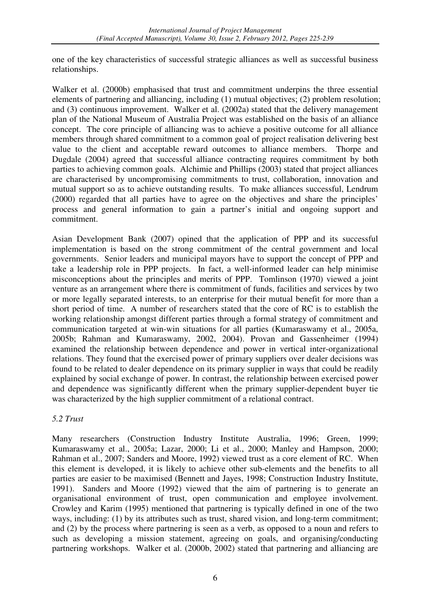one of the key characteristics of successful strategic alliances as well as successful business relationships.

Walker et al. (2000b) emphasised that trust and commitment underpins the three essential elements of partnering and alliancing, including (1) mutual objectives; (2) problem resolution; and (3) continuous improvement. Walker et al. (2002a) stated that the delivery management plan of the National Museum of Australia Project was established on the basis of an alliance concept. The core principle of alliancing was to achieve a positive outcome for all alliance members through shared commitment to a common goal of project realisation delivering best value to the client and acceptable reward outcomes to alliance members. Thorpe and Dugdale (2004) agreed that successful alliance contracting requires commitment by both parties to achieving common goals. Alchimie and Phillips (2003) stated that project alliances are characterised by uncompromising commitments to trust, collaboration, innovation and mutual support so as to achieve outstanding results. To make alliances successful, Lendrum (2000) regarded that all parties have to agree on the objectives and share the principles' process and general information to gain a partner's initial and ongoing support and commitment.

Asian Development Bank (2007) opined that the application of PPP and its successful implementation is based on the strong commitment of the central government and local governments. Senior leaders and municipal mayors have to support the concept of PPP and take a leadership role in PPP projects. In fact, a well-informed leader can help minimise misconceptions about the principles and merits of PPP. Tomlinson (1970) viewed a joint venture as an arrangement where there is commitment of funds, facilities and services by two or more legally separated interests, to an enterprise for their mutual benefit for more than a short period of time. A number of researchers stated that the core of RC is to establish the working relationship amongst different parties through a formal strategy of commitment and communication targeted at win-win situations for all parties (Kumaraswamy et al., 2005a, 2005b; Rahman and Kumaraswamy, 2002, 2004). Provan and Gassenheimer (1994) examined the relationship between dependence and power in vertical inter-organizational relations. They found that the exercised power of primary suppliers over dealer decisions was found to be related to dealer dependence on its primary supplier in ways that could be readily explained by social exchange of power. In contrast, the relationship between exercised power and dependence was significantly different when the primary supplier-dependent buyer tie was characterized by the high supplier commitment of a relational contract.

### *5.2 Trust*

Many researchers (Construction Industry Institute Australia, 1996; Green, 1999; Kumaraswamy et al., 2005a; Lazar, 2000; Li et al., 2000; Manley and Hampson, 2000; Rahman et al., 2007; Sanders and Moore, 1992) viewed trust as a core element of RC. When this element is developed, it is likely to achieve other sub-elements and the benefits to all parties are easier to be maximised (Bennett and Jayes, 1998; Construction Industry Institute, 1991). Sanders and Moore (1992) viewed that the aim of partnering is to generate an organisational environment of trust, open communication and employee involvement. Crowley and Karim (1995) mentioned that partnering is typically defined in one of the two ways, including: (1) by its attributes such as trust, shared vision, and long-term commitment; and (2) by the process where partnering is seen as a verb, as opposed to a noun and refers to such as developing a mission statement, agreeing on goals, and organising/conducting partnering workshops. Walker et al. (2000b, 2002) stated that partnering and alliancing are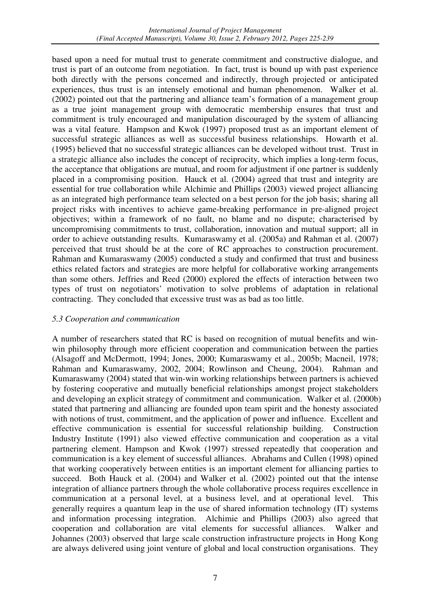based upon a need for mutual trust to generate commitment and constructive dialogue, and trust is part of an outcome from negotiation. In fact, trust is bound up with past experience both directly with the persons concerned and indirectly, through projected or anticipated experiences, thus trust is an intensely emotional and human phenomenon. Walker et al. (2002) pointed out that the partnering and alliance team's formation of a management group as a true joint management group with democratic membership ensures that trust and commitment is truly encouraged and manipulation discouraged by the system of alliancing was a vital feature. Hampson and Kwok (1997) proposed trust as an important element of successful strategic alliances as well as successful business relationships. Howarth et al. (1995) believed that no successful strategic alliances can be developed without trust. Trust in a strategic alliance also includes the concept of reciprocity, which implies a long-term focus, the acceptance that obligations are mutual, and room for adjustment if one partner is suddenly placed in a compromising position. Hauck et al. (2004) agreed that trust and integrity are essential for true collaboration while Alchimie and Phillips (2003) viewed project alliancing as an integrated high performance team selected on a best person for the job basis; sharing all project risks with incentives to achieve game-breaking performance in pre-aligned project objectives; within a framework of no fault, no blame and no dispute; characterised by uncompromising commitments to trust, collaboration, innovation and mutual support; all in order to achieve outstanding results. Kumaraswamy et al. (2005a) and Rahman et al. (2007) perceived that trust should be at the core of RC approaches to construction procurement. Rahman and Kumaraswamy (2005) conducted a study and confirmed that trust and business ethics related factors and strategies are more helpful for collaborative working arrangements than some others. Jeffries and Reed (2000) explored the effects of interaction between two types of trust on negotiators' motivation to solve problems of adaptation in relational contracting. They concluded that excessive trust was as bad as too little.

### *5.3 Cooperation and communication*

A number of researchers stated that RC is based on recognition of mutual benefits and winwin philosophy through more efficient cooperation and communication between the parties (Alsagoff and McDermott, 1994; Jones, 2000; Kumaraswamy et al., 2005b; Macneil, 1978; Rahman and Kumaraswamy, 2002, 2004; Rowlinson and Cheung, 2004). Rahman and Kumaraswamy (2004) stated that win-win working relationships between partners is achieved by fostering cooperative and mutually beneficial relationships amongst project stakeholders and developing an explicit strategy of commitment and communication. Walker et al. (2000b) stated that partnering and alliancing are founded upon team spirit and the honesty associated with notions of trust, commitment, and the application of power and influence. Excellent and effective communication is essential for successful relationship building. Construction Industry Institute (1991) also viewed effective communication and cooperation as a vital partnering element. Hampson and Kwok (1997) stressed repeatedly that cooperation and communication is a key element of successful alliances. Abrahams and Cullen (1998) opined that working cooperatively between entities is an important element for alliancing parties to succeed. Both Hauck et al. (2004) and Walker et al. (2002) pointed out that the intense integration of alliance partners through the whole collaborative process requires excellence in communication at a personal level, at a business level, and at operational level. This generally requires a quantum leap in the use of shared information technology (IT) systems and information processing integration. Alchimie and Phillips (2003) also agreed that cooperation and collaboration are vital elements for successful alliances. Walker and Johannes (2003) observed that large scale construction infrastructure projects in Hong Kong are always delivered using joint venture of global and local construction organisations. They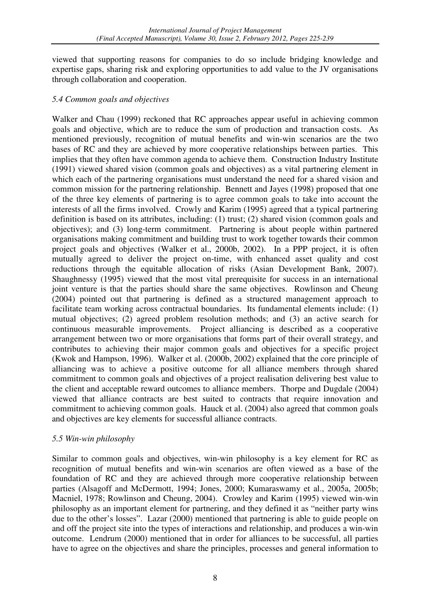viewed that supporting reasons for companies to do so include bridging knowledge and expertise gaps, sharing risk and exploring opportunities to add value to the JV organisations through collaboration and cooperation.

#### *5.4 Common goals and objectives*

Walker and Chau (1999) reckoned that RC approaches appear useful in achieving common goals and objective, which are to reduce the sum of production and transaction costs. As mentioned previously, recognition of mutual benefits and win-win scenarios are the two bases of RC and they are achieved by more cooperative relationships between parties. This implies that they often have common agenda to achieve them. Construction Industry Institute (1991) viewed shared vision (common goals and objectives) as a vital partnering element in which each of the partnering organisations must understand the need for a shared vision and common mission for the partnering relationship. Bennett and Jayes (1998) proposed that one of the three key elements of partnering is to agree common goals to take into account the interests of all the firms involved. Crowly and Karim (1995) agreed that a typical partnering definition is based on its attributes, including: (1) trust; (2) shared vision (common goals and objectives); and (3) long-term commitment. Partnering is about people within partnered organisations making commitment and building trust to work together towards their common project goals and objectives (Walker et al., 2000b, 2002). In a PPP project, it is often mutually agreed to deliver the project on-time, with enhanced asset quality and cost reductions through the equitable allocation of risks (Asian Development Bank, 2007). Shaughnessy (1995) viewed that the most vital prerequisite for success in an international joint venture is that the parties should share the same objectives. Rowlinson and Cheung (2004) pointed out that partnering is defined as a structured management approach to facilitate team working across contractual boundaries. Its fundamental elements include: (1) mutual objectives; (2) agreed problem resolution methods; and (3) an active search for continuous measurable improvements. Project alliancing is described as a cooperative arrangement between two or more organisations that forms part of their overall strategy, and contributes to achieving their major common goals and objectives for a specific project (Kwok and Hampson, 1996). Walker et al. (2000b, 2002) explained that the core principle of alliancing was to achieve a positive outcome for all alliance members through shared commitment to common goals and objectives of a project realisation delivering best value to the client and acceptable reward outcomes to alliance members. Thorpe and Dugdale (2004) viewed that alliance contracts are best suited to contracts that require innovation and commitment to achieving common goals. Hauck et al. (2004) also agreed that common goals and objectives are key elements for successful alliance contracts.

### *5.5 Win-win philosophy*

Similar to common goals and objectives, win-win philosophy is a key element for RC as recognition of mutual benefits and win-win scenarios are often viewed as a base of the foundation of RC and they are achieved through more cooperative relationship between parties (Alsagoff and McDermott, 1994; Jones, 2000; Kumaraswamy et al., 2005a, 2005b; Macniel, 1978; Rowlinson and Cheung, 2004). Crowley and Karim (1995) viewed win-win philosophy as an important element for partnering, and they defined it as "neither party wins due to the other's losses". Lazar (2000) mentioned that partnering is able to guide people on and off the project site into the types of interactions and relationship, and produces a win-win outcome. Lendrum (2000) mentioned that in order for alliances to be successful, all parties have to agree on the objectives and share the principles, processes and general information to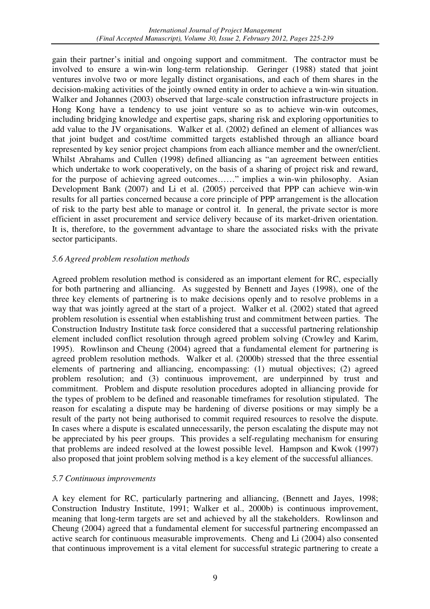gain their partner's initial and ongoing support and commitment. The contractor must be involved to ensure a win-win long-term relationship. Geringer (1988) stated that joint ventures involve two or more legally distinct organisations, and each of them shares in the decision-making activities of the jointly owned entity in order to achieve a win-win situation. Walker and Johannes (2003) observed that large-scale construction infrastructure projects in Hong Kong have a tendency to use joint venture so as to achieve win-win outcomes, including bridging knowledge and expertise gaps, sharing risk and exploring opportunities to add value to the JV organisations. Walker et al. (2002) defined an element of alliances was that joint budget and cost/time committed targets established through an alliance board represented by key senior project champions from each alliance member and the owner/client. Whilst Abrahams and Cullen (1998) defined alliancing as "an agreement between entities which undertake to work cooperatively, on the basis of a sharing of project risk and reward, for the purpose of achieving agreed outcomes……" implies a win-win philosophy. Asian Development Bank (2007) and Li et al. (2005) perceived that PPP can achieve win-win results for all parties concerned because a core principle of PPP arrangement is the allocation of risk to the party best able to manage or control it. In general, the private sector is more efficient in asset procurement and service delivery because of its market-driven orientation. It is, therefore, to the government advantage to share the associated risks with the private sector participants.

### *5.6 Agreed problem resolution methods*

Agreed problem resolution method is considered as an important element for RC, especially for both partnering and alliancing. As suggested by Bennett and Jayes (1998), one of the three key elements of partnering is to make decisions openly and to resolve problems in a way that was jointly agreed at the start of a project. Walker et al. (2002) stated that agreed problem resolution is essential when establishing trust and commitment between parties. The Construction Industry Institute task force considered that a successful partnering relationship element included conflict resolution through agreed problem solving (Crowley and Karim, 1995). Rowlinson and Cheung (2004) agreed that a fundamental element for partnering is agreed problem resolution methods. Walker et al. (2000b) stressed that the three essential elements of partnering and alliancing, encompassing: (1) mutual objectives; (2) agreed problem resolution; and (3) continuous improvement, are underpinned by trust and commitment. Problem and dispute resolution procedures adopted in alliancing provide for the types of problem to be defined and reasonable timeframes for resolution stipulated. The reason for escalating a dispute may be hardening of diverse positions or may simply be a result of the party not being authorised to commit required resources to resolve the dispute. In cases where a dispute is escalated unnecessarily, the person escalating the dispute may not be appreciated by his peer groups. This provides a self-regulating mechanism for ensuring that problems are indeed resolved at the lowest possible level. Hampson and Kwok (1997) also proposed that joint problem solving method is a key element of the successful alliances.

### *5.7 Continuous improvements*

A key element for RC, particularly partnering and alliancing, (Bennett and Jayes, 1998; Construction Industry Institute, 1991; Walker et al., 2000b) is continuous improvement, meaning that long-term targets are set and achieved by all the stakeholders. Rowlinson and Cheung (2004) agreed that a fundamental element for successful partnering encompassed an active search for continuous measurable improvements. Cheng and Li (2004) also consented that continuous improvement is a vital element for successful strategic partnering to create a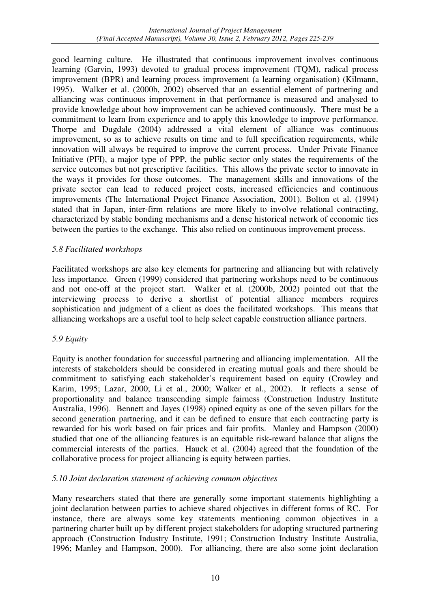good learning culture. He illustrated that continuous improvement involves continuous learning (Garvin, 1993) devoted to gradual process improvement (TQM), radical process improvement (BPR) and learning process improvement (a learning organisation) (Kilmann, 1995). Walker et al. (2000b, 2002) observed that an essential element of partnering and alliancing was continuous improvement in that performance is measured and analysed to provide knowledge about how improvement can be achieved continuously. There must be a commitment to learn from experience and to apply this knowledge to improve performance. Thorpe and Dugdale (2004) addressed a vital element of alliance was continuous improvement, so as to achieve results on time and to full specification requirements, while innovation will always be required to improve the current process. Under Private Finance Initiative (PFI), a major type of PPP, the public sector only states the requirements of the service outcomes but not prescriptive facilities. This allows the private sector to innovate in the ways it provides for those outcomes. The management skills and innovations of the private sector can lead to reduced project costs, increased efficiencies and continuous improvements (The International Project Finance Association, 2001). Bolton et al. (1994) stated that in Japan, inter-firm relations are more likely to involve relational contracting, characterized by stable bonding mechanisms and a dense historical network of economic ties between the parties to the exchange. This also relied on continuous improvement process.

### *5.8 Facilitated workshops*

Facilitated workshops are also key elements for partnering and alliancing but with relatively less importance. Green (1999) considered that partnering workshops need to be continuous and not one-off at the project start. Walker et al. (2000b, 2002) pointed out that the interviewing process to derive a shortlist of potential alliance members requires sophistication and judgment of a client as does the facilitated workshops. This means that alliancing workshops are a useful tool to help select capable construction alliance partners.

### *5.9 Equity*

Equity is another foundation for successful partnering and alliancing implementation. All the interests of stakeholders should be considered in creating mutual goals and there should be commitment to satisfying each stakeholder's requirement based on equity (Crowley and Karim, 1995; Lazar, 2000; Li et al., 2000; Walker et al., 2002). It reflects a sense of proportionality and balance transcending simple fairness (Construction Industry Institute Australia, 1996). Bennett and Jayes (1998) opined equity as one of the seven pillars for the second generation partnering, and it can be defined to ensure that each contracting party is rewarded for his work based on fair prices and fair profits. Manley and Hampson (2000) studied that one of the alliancing features is an equitable risk-reward balance that aligns the commercial interests of the parties. Hauck et al. (2004) agreed that the foundation of the collaborative process for project alliancing is equity between parties.

### *5.10 Joint declaration statement of achieving common objectives*

Many researchers stated that there are generally some important statements highlighting a joint declaration between parties to achieve shared objectives in different forms of RC. For instance, there are always some key statements mentioning common objectives in a partnering charter built up by different project stakeholders for adopting structured partnering approach (Construction Industry Institute, 1991; Construction Industry Institute Australia, 1996; Manley and Hampson, 2000). For alliancing, there are also some joint declaration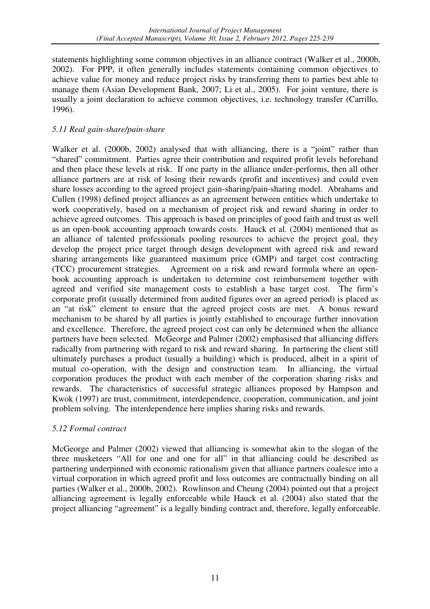statements highlighting some common objectives in an alliance contract (Walker et al., 2000b, 2002). For PPP, it often generally includes statements containing common objectives to achieve value for money and reduce project risks by transferring them to parties best able to manage them (Asian Development Bank, 2007; Li et al., 2005). For joint venture, there is usually a joint declaration to achieve common objectives, i.e. technology transfer (Carrillo, 1996).

# *5.11 Real gain-share/pain-share*

Walker et al. (2000b, 2002) analysed that with alliancing, there is a "joint" rather than "shared" commitment. Parties agree their contribution and required profit levels beforehand and then place these levels at risk. If one party in the alliance under-performs, then all other alliance partners are at risk of losing their rewards (profit and incentives) and could even share losses according to the agreed project gain-sharing/pain-sharing model. Abrahams and Cullen (1998) defined project alliances as an agreement between entities which undertake to work cooperatively, based on a mechanism of project risk and reward sharing in order to achieve agreed outcomes. This approach is based on principles of good faith and trust as well as an open-book accounting approach towards costs. Hauck et al. (2004) mentioned that as an alliance of talented professionals pooling resources to achieve the project goal, they develop the project price target through design development with agreed risk and reward sharing arrangements like guaranteed maximum price (GMP) and target cost contracting (TCC) procurement strategies. Agreement on a risk and reward formula where an openbook accounting approach is undertaken to determine cost reimbursement together with agreed and verified site management costs to establish a base target cost. The firm's corporate profit (usually determined from audited figures over an agreed period) is placed as an "at risk" element to ensure that the agreed project costs are met. A bonus reward mechanism to be shared by all parties is jointly established to encourage further innovation and excellence. Therefore, the agreed project cost can only be determined when the alliance partners have been selected. McGeorge and Palmer (2002) emphasised that alliancing differs radically from partnering with regard to risk and reward sharing. In partnering the client still ultimately purchases a product (usually a building) which is produced, albeit in a spirit of mutual co-operation, with the design and construction team. In alliancing, the virtual corporation produces the product with each member of the corporation sharing risks and rewards. The characteristics of successful strategic alliances proposed by Hampson and Kwok (1997) are trust, commitment, interdependence, cooperation, communication, and joint problem solving. The interdependence here implies sharing risks and rewards.

# *5.12 Formal contract*

McGeorge and Palmer (2002) viewed that alliancing is somewhat akin to the slogan of the three musketeers "All for one and one for all" in that alliancing could be described as partnering underpinned with economic rationalism given that alliance partners coalesce into a virtual corporation in which agreed profit and loss outcomes are contractually binding on all parties (Walker et al., 2000b, 2002). Rowlinson and Cheung (2004) pointed out that a project alliancing agreement is legally enforceable while Hauck et al. (2004) also stated that the project alliancing "agreement" is a legally binding contract and, therefore, legally enforceable.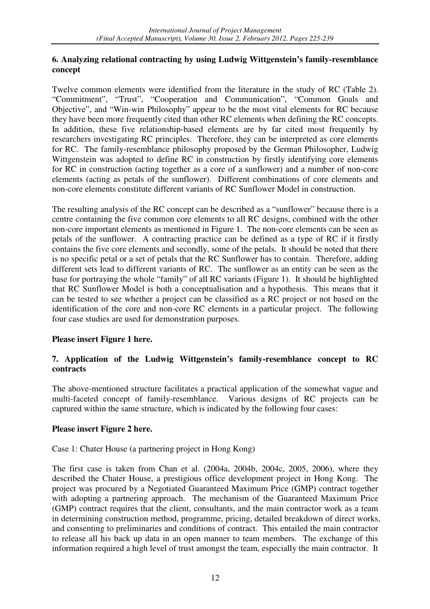### **6. Analyzing relational contracting by using Ludwig Wittgenstein's family-resemblance concept**

Twelve common elements were identified from the literature in the study of RC (Table 2). "Commitment", "Trust", "Cooperation and Communication", "Common Goals and Objective", and "Win-win Philosophy" appear to be the most vital elements for RC because they have been more frequently cited than other RC elements when defining the RC concepts. In addition, these five relationship-based elements are by far cited most frequently by researchers investigating RC principles. Therefore, they can be interpreted as core elements for RC. The family-resemblance philosophy proposed by the German Philosopher, Ludwig Wittgenstein was adopted to define RC in construction by firstly identifying core elements for RC in construction (acting together as a core of a sunflower) and a number of non-core elements (acting as petals of the sunflower). Different combinations of core elements and non-core elements constitute different variants of RC Sunflower Model in construction.

The resulting analysis of the RC concept can be described as a "sunflower" because there is a centre containing the five common core elements to all RC designs, combined with the other non-core important elements as mentioned in Figure 1. The non-core elements can be seen as petals of the sunflower. A contracting practice can be defined as a type of RC if it firstly contains the five core elements and secondly, some of the petals. It should be noted that there is no specific petal or a set of petals that the RC Sunflower has to contain. Therefore, adding different sets lead to different variants of RC. The sunflower as an entity can be seen as the base for portraying the whole "family" of all RC variants (Figure 1). It should be highlighted that RC Sunflower Model is both a conceptualisation and a hypothesis. This means that it can be tested to see whether a project can be classified as a RC project or not based on the identification of the core and non-core RC elements in a particular project. The following four case studies are used for demonstration purposes.

### **Please insert Figure 1 here.**

## **7. Application of the Ludwig Wittgenstein's family-resemblance concept to RC contracts**

The above-mentioned structure facilitates a practical application of the somewhat vague and multi-faceted concept of family-resemblance. Various designs of RC projects can be captured within the same structure, which is indicated by the following four cases:

### **Please insert Figure 2 here.**

### Case 1: Chater House (a partnering project in Hong Kong)

The first case is taken from Chan et al. (2004a, 2004b, 2004c, 2005, 2006), where they described the Chater House, a prestigious office development project in Hong Kong. The project was procured by a Negotiated Guaranteed Maximum Price (GMP) contract together with adopting a partnering approach. The mechanism of the Guaranteed Maximum Price (GMP) contract requires that the client, consultants, and the main contractor work as a team in determining construction method, programme, pricing, detailed breakdown of direct works, and consenting to preliminaries and conditions of contract. This entailed the main contractor to release all his back up data in an open manner to team members. The exchange of this information required a high level of trust amongst the team, especially the main contractor. It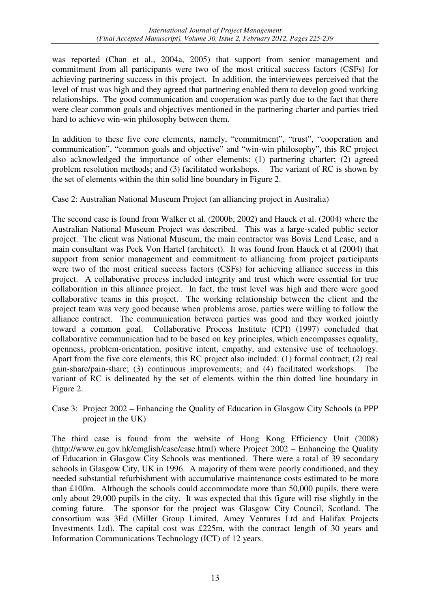was reported (Chan et al., 2004a, 2005) that support from senior management and commitment from all participants were two of the most critical success factors (CSFs) for achieving partnering success in this project. In addition, the interviewees perceived that the level of trust was high and they agreed that partnering enabled them to develop good working relationships. The good communication and cooperation was partly due to the fact that there were clear common goals and objectives mentioned in the partnering charter and parties tried hard to achieve win-win philosophy between them.

In addition to these five core elements, namely, "commitment", "trust", "cooperation and communication", "common goals and objective" and "win-win philosophy", this RC project also acknowledged the importance of other elements: (1) partnering charter; (2) agreed problem resolution methods; and (3) facilitated workshops. The variant of RC is shown by the set of elements within the thin solid line boundary in Figure 2.

Case 2: Australian National Museum Project (an alliancing project in Australia)

The second case is found from Walker et al. (2000b, 2002) and Hauck et al. (2004) where the Australian National Museum Project was described. This was a large-scaled public sector project. The client was National Museum, the main contractor was Bovis Lend Lease, and a main consultant was Peck Von Hartel (architect). It was found from Hauck et al (2004) that support from senior management and commitment to alliancing from project participants were two of the most critical success factors (CSFs) for achieving alliance success in this project. A collaborative process included integrity and trust which were essential for true collaboration in this alliance project. In fact, the trust level was high and there were good collaborative teams in this project. The working relationship between the client and the project team was very good because when problems arose, parties were willing to follow the alliance contract. The communication between parties was good and they worked jointly toward a common goal. Collaborative Process Institute (CPI) (1997) concluded that collaborative communication had to be based on key principles, which encompasses equality, openness, problem-orientation, positive intent, empathy, and extensive use of technology. Apart from the five core elements, this RC project also included: (1) formal contract; (2) real gain-share/pain-share; (3) continuous improvements; and (4) facilitated workshops. The variant of RC is delineated by the set of elements within the thin dotted line boundary in Figure 2.

Case 3: Project 2002 – Enhancing the Quality of Education in Glasgow City Schools (a PPP project in the UK)

The third case is found from the website of Hong Kong Efficiency Unit (2008) (http://www.eu.gov.hk/emglish/case/case.html) where Project 2002 – Enhancing the Quality of Education in Glasgow City Schools was mentioned. There were a total of 39 secondary schools in Glasgow City, UK in 1996. A majority of them were poorly conditioned, and they needed substantial refurbishment with accumulative maintenance costs estimated to be more than £100m. Although the schools could accommodate more than 50,000 pupils, there were only about 29,000 pupils in the city. It was expected that this figure will rise slightly in the coming future. The sponsor for the project was Glasgow City Council, Scotland. The consortium was 3Ed (Miller Group Limited, Amey Ventures Ltd and Halifax Projects Investments Ltd). The capital cost was £225m, with the contract length of 30 years and Information Communications Technology (ICT) of 12 years.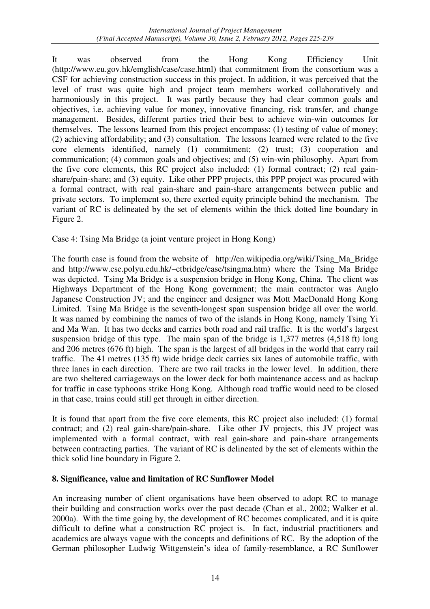It was observed from the Hong Kong Efficiency Unit (http://www.eu.gov.hk/emglish/case/case.html) that commitment from the consortium was a CSF for achieving construction success in this project. In addition, it was perceived that the level of trust was quite high and project team members worked collaboratively and harmoniously in this project. It was partly because they had clear common goals and objectives, i.e. achieving value for money, innovative financing, risk transfer, and change management. Besides, different parties tried their best to achieve win-win outcomes for themselves. The lessons learned from this project encompass: (1) testing of value of money; (2) achieving affordability; and (3) consultation. The lessons learned were related to the five core elements identified, namely (1) commitment; (2) trust; (3) cooperation and communication; (4) common goals and objectives; and (5) win-win philosophy. Apart from the five core elements, this RC project also included: (1) formal contract; (2) real gainshare/pain-share; and (3) equity. Like other PPP projects, this PPP project was procured with a formal contract, with real gain-share and pain-share arrangements between public and private sectors. To implement so, there exerted equity principle behind the mechanism. The variant of RC is delineated by the set of elements within the thick dotted line boundary in Figure 2.

Case 4: Tsing Ma Bridge (a joint venture project in Hong Kong)

The fourth case is found from the website of http://en.wikipedia.org/wiki/Tsing\_Ma\_Bridge and http://www.cse.polyu.edu.hk/~ctbridge/case/tsingma.htm) where the Tsing Ma Bridge was depicted. Tsing Ma Bridge is a suspension bridge in Hong Kong, China. The client was Highways Department of the Hong Kong government; the main contractor was Anglo Japanese Construction JV; and the engineer and designer was Mott MacDonald Hong Kong Limited. Tsing Ma Bridge is the seventh-longest span suspension bridge all over the world. It was named by combining the names of two of the islands in Hong Kong, namely Tsing Yi and Ma Wan. It has two decks and carries both road and rail traffic. It is the world's largest suspension bridge of this type. The main span of the bridge is 1,377 metres (4,518 ft) long and 206 metres (676 ft) high. The span is the largest of all bridges in the world that carry rail traffic. The 41 metres (135 ft) wide bridge deck carries six lanes of automobile traffic, with three lanes in each direction. There are two rail tracks in the lower level. In addition, there are two sheltered carriageways on the lower deck for both maintenance access and as backup for traffic in case typhoons strike Hong Kong. Although road traffic would need to be closed in that case, trains could still get through in either direction.

It is found that apart from the five core elements, this RC project also included: (1) formal contract; and (2) real gain-share/pain-share. Like other JV projects, this JV project was implemented with a formal contract, with real gain-share and pain-share arrangements between contracting parties. The variant of RC is delineated by the set of elements within the thick solid line boundary in Figure 2.

### **8. Significance, value and limitation of RC Sunflower Model**

An increasing number of client organisations have been observed to adopt RC to manage their building and construction works over the past decade (Chan et al., 2002; Walker et al. 2000a). With the time going by, the development of RC becomes complicated, and it is quite difficult to define what a construction RC project is. In fact, industrial practitioners and academics are always vague with the concepts and definitions of RC. By the adoption of the German philosopher Ludwig Wittgenstein's idea of family-resemblance, a RC Sunflower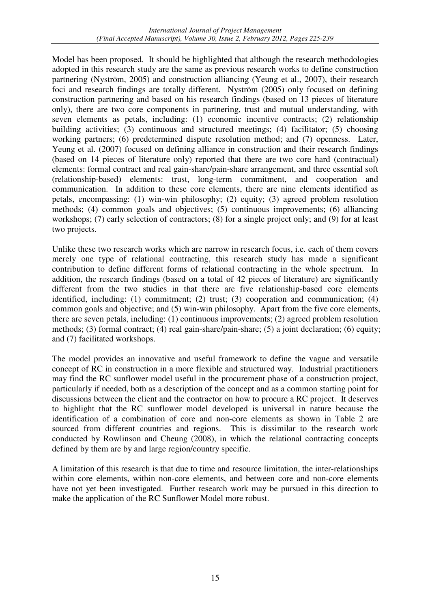Model has been proposed. It should be highlighted that although the research methodologies adopted in this research study are the same as previous research works to define construction partnering (Nyström, 2005) and construction alliancing (Yeung et al., 2007), their research foci and research findings are totally different. Nyström (2005) only focused on defining construction partnering and based on his research findings (based on 13 pieces of literature only), there are two core components in partnering, trust and mutual understanding, with seven elements as petals, including: (1) economic incentive contracts; (2) relationship building activities; (3) continuous and structured meetings; (4) facilitator; (5) choosing working partners; (6) predetermined dispute resolution method; and (7) openness. Later, Yeung et al. (2007) focused on defining alliance in construction and their research findings (based on 14 pieces of literature only) reported that there are two core hard (contractual) elements: formal contract and real gain-share/pain-share arrangement, and three essential soft (relationship-based) elements: trust, long-term commitment, and cooperation and communication. In addition to these core elements, there are nine elements identified as petals, encompassing: (1) win-win philosophy; (2) equity; (3) agreed problem resolution methods; (4) common goals and objectives; (5) continuous improvements; (6) alliancing workshops; (7) early selection of contractors; (8) for a single project only; and (9) for at least two projects.

Unlike these two research works which are narrow in research focus, i.e. each of them covers merely one type of relational contracting, this research study has made a significant contribution to define different forms of relational contracting in the whole spectrum. In addition, the research findings (based on a total of 42 pieces of literature) are significantly different from the two studies in that there are five relationship-based core elements identified, including: (1) commitment; (2) trust; (3) cooperation and communication; (4) common goals and objective; and (5) win-win philosophy. Apart from the five core elements, there are seven petals, including: (1) continuous improvements; (2) agreed problem resolution methods; (3) formal contract; (4) real gain-share/pain-share; (5) a joint declaration; (6) equity; and (7) facilitated workshops.

The model provides an innovative and useful framework to define the vague and versatile concept of RC in construction in a more flexible and structured way. Industrial practitioners may find the RC sunflower model useful in the procurement phase of a construction project, particularly if needed, both as a description of the concept and as a common starting point for discussions between the client and the contractor on how to procure a RC project. It deserves to highlight that the RC sunflower model developed is universal in nature because the identification of a combination of core and non-core elements as shown in Table 2 are sourced from different countries and regions. This is dissimilar to the research work conducted by Rowlinson and Cheung (2008), in which the relational contracting concepts defined by them are by and large region/country specific.

A limitation of this research is that due to time and resource limitation, the inter-relationships within core elements, within non-core elements, and between core and non-core elements have not yet been investigated. Further research work may be pursued in this direction to make the application of the RC Sunflower Model more robust.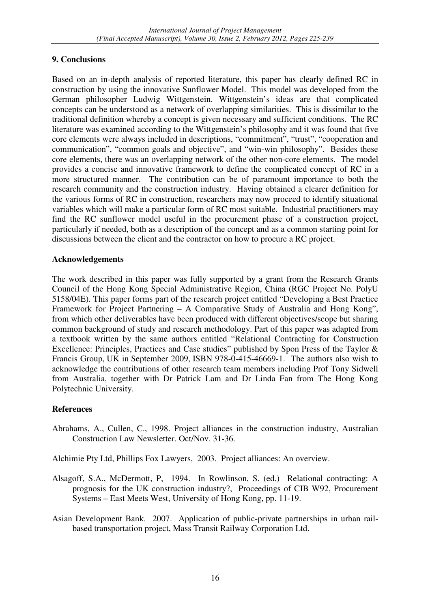## **9. Conclusions**

Based on an in-depth analysis of reported literature, this paper has clearly defined RC in construction by using the innovative Sunflower Model. This model was developed from the German philosopher Ludwig Wittgenstein. Wittgenstein's ideas are that complicated concepts can be understood as a network of overlapping similarities. This is dissimilar to the traditional definition whereby a concept is given necessary and sufficient conditions. The RC literature was examined according to the Wittgenstein's philosophy and it was found that five core elements were always included in descriptions, "commitment", "trust", "cooperation and communication", "common goals and objective", and "win-win philosophy". Besides these core elements, there was an overlapping network of the other non-core elements. The model provides a concise and innovative framework to define the complicated concept of RC in a more structured manner. The contribution can be of paramount importance to both the research community and the construction industry. Having obtained a clearer definition for the various forms of RC in construction, researchers may now proceed to identify situational variables which will make a particular form of RC most suitable. Industrial practitioners may find the RC sunflower model useful in the procurement phase of a construction project, particularly if needed, both as a description of the concept and as a common starting point for discussions between the client and the contractor on how to procure a RC project.

### **Acknowledgements**

The work described in this paper was fully supported by a grant from the Research Grants Council of the Hong Kong Special Administrative Region, China (RGC Project No. PolyU 5158/04E). This paper forms part of the research project entitled "Developing a Best Practice Framework for Project Partnering – A Comparative Study of Australia and Hong Kong", from which other deliverables have been produced with different objectives/scope but sharing common background of study and research methodology. Part of this paper was adapted from a textbook written by the same authors entitled "Relational Contracting for Construction Excellence: Principles, Practices and Case studies" published by Spon Press of the Taylor & Francis Group, UK in September 2009, ISBN 978-0-415-46669-1. The authors also wish to acknowledge the contributions of other research team members including Prof Tony Sidwell from Australia, together with Dr Patrick Lam and Dr Linda Fan from The Hong Kong Polytechnic University.

### **References**

Abrahams, A., Cullen, C., 1998. Project alliances in the construction industry, Australian Construction Law Newsletter. Oct/Nov. 31-36.

Alchimie Pty Ltd, Phillips Fox Lawyers, 2003. Project alliances: An overview.

- Alsagoff, S.A., McDermott, P, 1994. In Rowlinson, S. (ed.) Relational contracting: A prognosis for the UK construction industry?, Proceedings of CIB W92, Procurement Systems – East Meets West, University of Hong Kong, pp. 11-19.
- Asian Development Bank. 2007. Application of public-private partnerships in urban railbased transportation project, Mass Transit Railway Corporation Ltd.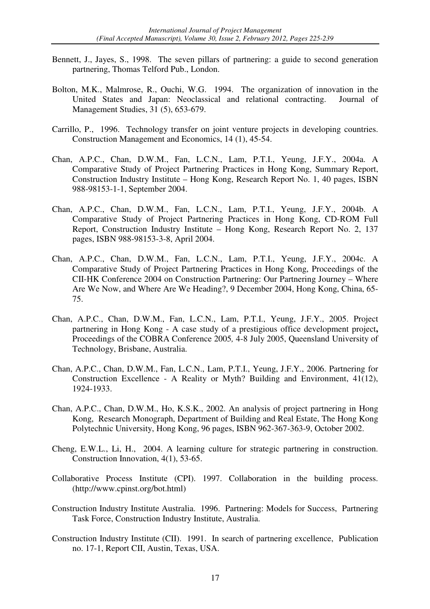- Bennett, J., Jayes, S., 1998. The seven pillars of partnering: a guide to second generation partnering, Thomas Telford Pub., London.
- Bolton, M.K., Malmrose, R., Ouchi, W.G. 1994. The organization of innovation in the United States and Japan: Neoclassical and relational contracting. Journal of Management Studies, 31 (5), 653-679.
- Carrillo, P., 1996. Technology transfer on joint venture projects in developing countries. Construction Management and Economics, 14 (1), 45-54.
- Chan, A.P.C., Chan, D.W.M., Fan, L.C.N., Lam, P.T.I., Yeung, J.F.Y., 2004a. A Comparative Study of Project Partnering Practices in Hong Kong, Summary Report, Construction Industry Institute – Hong Kong, Research Report No. 1, 40 pages, ISBN 988-98153-1-1, September 2004.
- Chan, A.P.C., Chan, D.W.M., Fan, L.C.N., Lam, P.T.I., Yeung, J.F.Y., 2004b. A Comparative Study of Project Partnering Practices in Hong Kong, CD-ROM Full Report, Construction Industry Institute – Hong Kong, Research Report No. 2, 137 pages, ISBN 988-98153-3-8, April 2004.
- Chan, A.P.C., Chan, D.W.M., Fan, L.C.N., Lam, P.T.I., Yeung, J.F.Y., 2004c. A Comparative Study of Project Partnering Practices in Hong Kong, Proceedings of the CII-HK Conference 2004 on Construction Partnering: Our Partnering Journey – Where Are We Now, and Where Are We Heading?, 9 December 2004, Hong Kong, China, 65- 75.
- Chan, A.P.C., Chan, D.W.M., Fan, L.C.N., Lam, P.T.I., Yeung, J.F.Y., 2005. Project partnering in Hong Kong - A case study of a prestigious office development project**,** Proceedings of the COBRA Conference 2005*,* 4-8 July 2005, Queensland University of Technology, Brisbane, Australia.
- Chan, A.P.C., Chan, D.W.M., Fan, L.C.N., Lam, P.T.I., Yeung, J.F.Y., 2006. Partnering for Construction Excellence - A Reality or Myth? Building and Environment, 41(12), 1924-1933.
- Chan, A.P.C., Chan, D.W.M., Ho, K.S.K., 2002. An analysis of project partnering in Hong Kong, Research Monograph, Department of Building and Real Estate, The Hong Kong Polytechnic University, Hong Kong, 96 pages, ISBN 962-367-363-9, October 2002.
- Cheng, E.W.L., Li, H., 2004. A learning culture for strategic partnering in construction. Construction Innovation, 4(1), 53-65.
- Collaborative Process Institute (CPI). 1997. Collaboration in the building process. (http://www.cpinst.org/bot.html)
- Construction Industry Institute Australia. 1996. Partnering: Models for Success, Partnering Task Force, Construction Industry Institute, Australia.
- Construction Industry Institute (CII). 1991. In search of partnering excellence, Publication no. 17-1, Report CII, Austin, Texas, USA.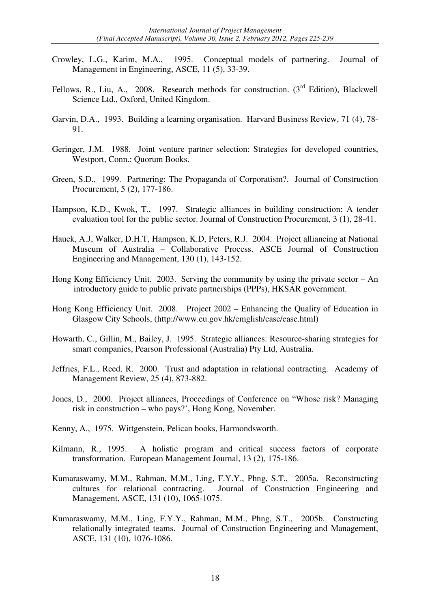- Crowley, L.G., Karim, M.A., 1995. Conceptual models of partnering. Journal of Management in Engineering, ASCE, 11 (5), 33-39.
- Fellows, R., Liu, A., 2008. Research methods for construction.  $3<sup>rd</sup>$  Edition), Blackwell Science Ltd., Oxford, United Kingdom.
- Garvin, D.A., 1993. Building a learning organisation. Harvard Business Review, 71 (4), 78- 91.
- Geringer, J.M. 1988. Joint venture partner selection: Strategies for developed countries, Westport, Conn.: Quorum Books.
- Green, S.D., 1999. Partnering: The Propaganda of Corporatism?. Journal of Construction Procurement, 5 (2), 177-186.
- Hampson, K.D., Kwok, T., 1997. Strategic alliances in building construction: A tender evaluation tool for the public sector. Journal of Construction Procurement, 3 (1), 28-41.
- Hauck, A.J, Walker, D.H.T, Hampson, K.D, Peters, R.J. 2004. Project alliancing at National Museum of Australia – Collaborative Process. ASCE Journal of Construction Engineering and Management, 130 (1), 143-152.
- Hong Kong Efficiency Unit. 2003. Serving the community by using the private sector An introductory guide to public private partnerships (PPPs), HKSAR government.
- Hong Kong Efficiency Unit. 2008. Project 2002 Enhancing the Quality of Education in Glasgow City Schools, (http://www.eu.gov.hk/emglish/case/case.html)
- Howarth, C., Gillin, M., Bailey, J. 1995. Strategic alliances: Resource-sharing strategies for smart companies, Pearson Professional (Australia) Pty Ltd, Australia.
- Jeffries, F.L., Reed, R. 2000. Trust and adaptation in relational contracting. Academy of Management Review, 25 (4), 873-882.
- Jones, D., 2000. Project alliances, Proceedings of Conference on "Whose risk? Managing risk in construction – who pays?', Hong Kong, November.
- Kenny, A., 1975. Wittgenstein, Pelican books, Harmondsworth.
- Kilmann, R., 1995. A holistic program and critical success factors of corporate transformation. European Management Journal, 13 (2), 175-186.
- Kumaraswamy, M.M., Rahman, M.M., Ling, F.Y.Y., Phng, S.T., 2005a. Reconstructing cultures for relational contracting. Journal of Construction Engineering and Management, ASCE, 131 (10), 1065-1075.
- Kumaraswamy, M.M., Ling, F.Y.Y., Rahman, M.M., Phng, S.T., 2005b. Constructing relationally integrated teams. Journal of Construction Engineering and Management, ASCE, 131 (10), 1076-1086.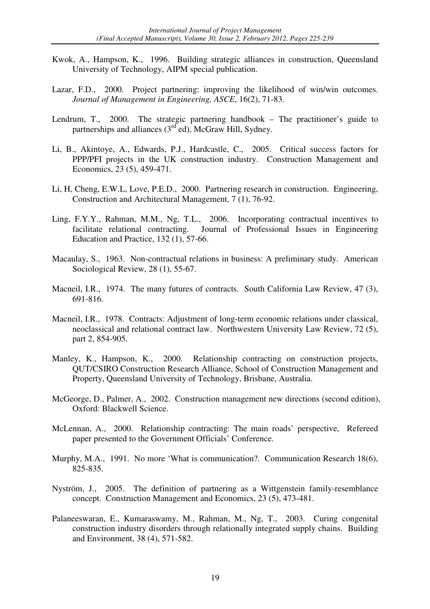- Kwok, A., Hampson, K., 1996. Building strategic alliances in construction, Queensland University of Technology, AIPM special publication.
- Lazar, F.D., 2000. Project partnering: improving the likelihood of win/win outcomes. *Journal of Management in Engineering, ASCE*, 16(2), 71-83.
- Lendrum, T., 2000. The strategic partnering handbook The practitioner's guide to partnerships and alliances  $(3<sup>rd</sup>$ ed), McGraw Hill, Sydney.
- Li, B., Akintoye, A., Edwards, P.J., Hardcastle, C., 2005. Critical success factors for PPP/PFI projects in the UK construction industry. Construction Management and Economics, 23 (5), 459-471.
- Li, H, Cheng, E.W.L, Love, P.E.D., 2000. Partnering research in construction. Engineering, Construction and Architectural Management, 7 (1), 76-92.
- Ling, F.Y.Y., Rahman, M.M., Ng, T.L., 2006. Incorporating contractual incentives to facilitate relational contracting. Journal of Professional Issues in Engineering Education and Practice, 132 (1), 57-66.
- Macaulay, S., 1963. Non-contractual relations in business: A preliminary study. American Sociological Review, 28 (1), 55-67.
- Macneil, I.R., 1974. The many futures of contracts. South California Law Review, 47 (3), 691-816.
- Macneil, I.R., 1978. Contracts: Adjustment of long-term economic relations under classical, neoclassical and relational contract law. Northwestern University Law Review, 72 (5), part 2, 854-905.
- Manley, K., Hampson, K., 2000. Relationship contracting on construction projects, QUT/CSIRO Construction Research Alliance, School of Construction Management and Property, Queensland University of Technology, Brisbane, Australia.
- McGeorge, D., Palmer, A., 2002. Construction management new directions (second edition), Oxford: Blackwell Science.
- McLennan, A., 2000. Relationship contracting: The main roads' perspective, Refereed paper presented to the Government Officials' Conference.
- Murphy, M.A., 1991. No more 'What is communication?*.* Communication Research 18(6), 825-835.
- Nyström, J., 2005. The definition of partnering as a Wittgenstein family-resemblance concept. Construction Management and Economics, 23 (5), 473-481.
- Palaneeswaran, E., Kumaraswamy, M., Rahman, M., Ng, T., 2003. Curing congenital construction industry disorders through relationally integrated supply chains. Building and Environment, 38 (4), 571-582.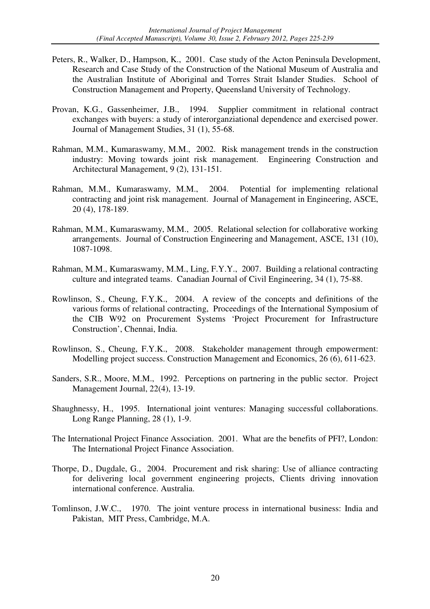- Peters, R., Walker, D., Hampson, K., 2001. Case study of the Acton Peninsula Development, Research and Case Study of the Construction of the National Museum of Australia and the Australian Institute of Aboriginal and Torres Strait Islander Studies. School of Construction Management and Property, Queensland University of Technology.
- Provan, K.G., Gassenheimer, J.B., 1994. Supplier commitment in relational contract exchanges with buyers: a study of interorganziational dependence and exercised power. Journal of Management Studies, 31 (1), 55-68.
- Rahman, M.M., Kumaraswamy, M.M., 2002. Risk management trends in the construction industry: Moving towards joint risk management. Engineering Construction and Architectural Management, 9 (2), 131-151.
- Rahman, M.M., Kumaraswamy, M.M., 2004. Potential for implementing relational contracting and joint risk management. Journal of Management in Engineering, ASCE, 20 (4), 178-189.
- Rahman, M.M., Kumaraswamy, M.M., 2005. Relational selection for collaborative working arrangements. Journal of Construction Engineering and Management, ASCE, 131 (10), 1087-1098.
- Rahman, M.M., Kumaraswamy, M.M., Ling, F.Y.Y., 2007. Building a relational contracting culture and integrated teams. Canadian Journal of Civil Engineering, 34 (1), 75-88.
- Rowlinson, S., Cheung, F.Y.K., 2004. A review of the concepts and definitions of the various forms of relational contracting, Proceedings of the International Symposium of the CIB W92 on Procurement Systems 'Project Procurement for Infrastructure Construction', Chennai, India.
- Rowlinson, S., Cheung, F.Y.K., 2008. Stakeholder management through empowerment: Modelling project success. Construction Management and Economics, 26 (6), 611-623.
- Sanders, S.R., Moore, M.M., 1992. Perceptions on partnering in the public sector. Project Management Journal, 22(4), 13-19.
- Shaughnessy, H., 1995. International joint ventures: Managing successful collaborations. Long Range Planning, 28 (1), 1-9.
- The International Project Finance Association. 2001. What are the benefits of PFI?, London: The International Project Finance Association.
- Thorpe, D., Dugdale, G., 2004. Procurement and risk sharing: Use of alliance contracting for delivering local government engineering projects, Clients driving innovation international conference. Australia.
- Tomlinson, J.W.C., 1970. The joint venture process in international business: India and Pakistan, MIT Press, Cambridge, M.A.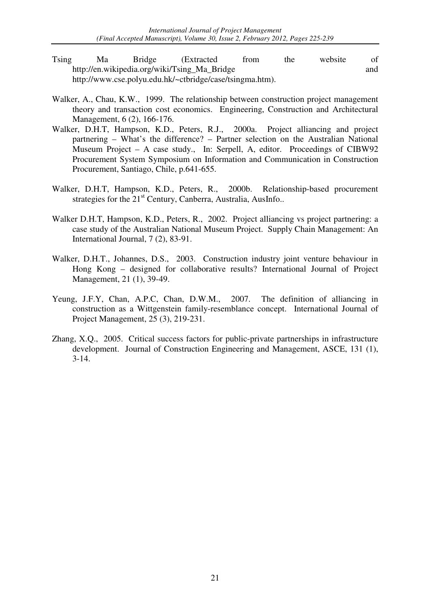- Tsing Ma Bridge (Extracted from the website of http://en.wikipedia.org/wiki/Tsing\_Ma\_Bridge and http://www.cse.polyu.edu.hk/~ctbridge/case/tsingma.htm).
- Walker, A., Chau, K.W., 1999. The relationship between construction project management theory and transaction cost economics. Engineering, Construction and Architectural Management, 6 (2), 166-176.
- Walker, D.H.T, Hampson, K.D., Peters, R.J., 2000a. Project alliancing and project partnering – What's the difference? – Partner selection on the Australian National Museum Project – A case study., In: Serpell, A, editor. Proceedings of CIBW92 Procurement System Symposium on Information and Communication in Construction Procurement, Santiago, Chile, p.641-655.
- Walker, D.H.T, Hampson, K.D., Peters, R., 2000b. Relationship-based procurement strategies for the  $21<sup>st</sup>$  Century, Canberra, Australia, AusInfo..
- Walker D.H.T, Hampson, K.D., Peters, R., 2002. Project alliancing vs project partnering: a case study of the Australian National Museum Project. Supply Chain Management: An International Journal, 7 (2), 83-91.
- Walker, D.H.T., Johannes, D.S., 2003. Construction industry joint venture behaviour in Hong Kong – designed for collaborative results? International Journal of Project Management, 21 (1), 39-49.
- Yeung, J.F.Y, Chan, A.P.C, Chan, D.W.M., 2007. The definition of alliancing in construction as a Wittgenstein family-resemblance concept. International Journal of Project Management, 25 (3), 219-231.
- Zhang, X.Q., 2005. Critical success factors for public-private partnerships in infrastructure development. Journal of Construction Engineering and Management, ASCE, 131 (1), 3-14.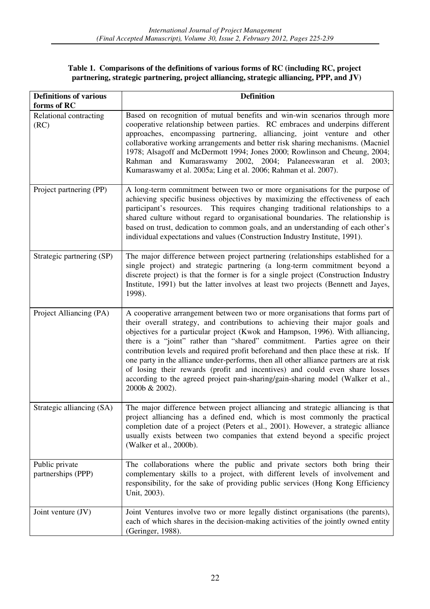#### **Table 1. Comparisons of the definitions of various forms of RC (including RC, project partnering, strategic partnering, project alliancing, strategic alliancing, PPP, and JV)**

| <b>Definitions of various</b><br>forms of RC | <b>Definition</b>                                                                                                                                                                                                                                                                                                                                                                                                                                                                                                                                                                                                                                                                                   |
|----------------------------------------------|-----------------------------------------------------------------------------------------------------------------------------------------------------------------------------------------------------------------------------------------------------------------------------------------------------------------------------------------------------------------------------------------------------------------------------------------------------------------------------------------------------------------------------------------------------------------------------------------------------------------------------------------------------------------------------------------------------|
| Relational contracting<br>(RC)               | Based on recognition of mutual benefits and win-win scenarios through more<br>cooperative relationship between parties. RC embraces and underpins different<br>approaches, encompassing partnering, alliancing, joint venture and other<br>collaborative working arrangements and better risk sharing mechanisms. (Macniel<br>1978; Alsagoff and McDermott 1994; Jones 2000; Rowlinson and Cheung, 2004;<br>Rahman and Kumaraswamy 2002, 2004; Palaneeswaran et al. 2003;<br>Kumaraswamy et al. 2005a; Ling et al. 2006; Rahman et al. 2007).                                                                                                                                                       |
| Project partnering (PP)                      | A long-term commitment between two or more organisations for the purpose of<br>achieving specific business objectives by maximizing the effectiveness of each<br>participant's resources. This requires changing traditional relationships to a<br>shared culture without regard to organisational boundaries. The relationship is<br>based on trust, dedication to common goals, and an understanding of each other's<br>individual expectations and values (Construction Industry Institute, 1991).                                                                                                                                                                                               |
| Strategic partnering (SP)                    | The major difference between project partnering (relationships established for a<br>single project) and strategic partnering (a long-term commitment beyond a<br>discrete project) is that the former is for a single project (Construction Industry<br>Institute, 1991) but the latter involves at least two projects (Bennett and Jayes,<br>1998).                                                                                                                                                                                                                                                                                                                                                |
| Project Alliancing (PA)                      | A cooperative arrangement between two or more organisations that forms part of<br>their overall strategy, and contributions to achieving their major goals and<br>objectives for a particular project (Kwok and Hampson, 1996). With alliancing,<br>there is a "joint" rather than "shared" commitment. Parties agree on their<br>contribution levels and required profit beforehand and then place these at risk. If<br>one party in the alliance under-performs, then all other alliance partners are at risk<br>of losing their rewards (profit and incentives) and could even share losses<br>according to the agreed project pain-sharing/gain-sharing model (Walker et al.,<br>2000b & 2002). |
| Strategic alliancing (SA)                    | The major difference between project alliancing and strategic alliancing is that<br>project alliancing has a defined end, which is most commonly the practical<br>completion date of a project (Peters et al., 2001). However, a strategic alliance<br>usually exists between two companies that extend beyond a specific project<br>(Walker et al., 2000b).                                                                                                                                                                                                                                                                                                                                        |
| Public private<br>partnerships (PPP)         | The collaborations where the public and private sectors both bring their<br>complementary skills to a project, with different levels of involvement and<br>responsibility, for the sake of providing public services (Hong Kong Efficiency<br>Unit, 2003).                                                                                                                                                                                                                                                                                                                                                                                                                                          |
| Joint venture (JV)                           | Joint Ventures involve two or more legally distinct organisations (the parents),<br>each of which shares in the decision-making activities of the jointly owned entity<br>(Geringer, 1988).                                                                                                                                                                                                                                                                                                                                                                                                                                                                                                         |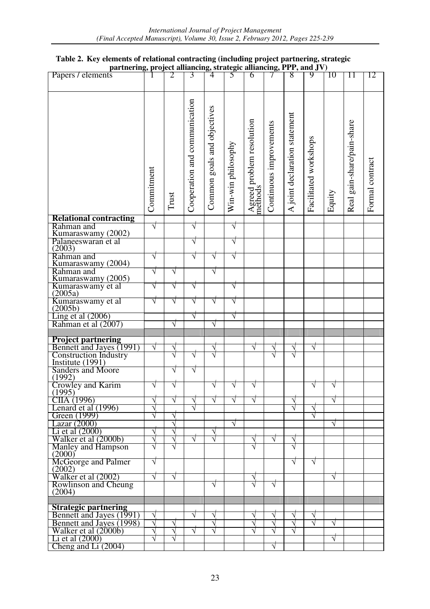| Papers / elements                                                                                                                   |                       | 2                     | 3                             | 4                           | 5                     | 6                                    |                         | 8                             | 9                     | 10                    | 11                         | 12              |
|-------------------------------------------------------------------------------------------------------------------------------------|-----------------------|-----------------------|-------------------------------|-----------------------------|-----------------------|--------------------------------------|-------------------------|-------------------------------|-----------------------|-----------------------|----------------------------|-----------------|
|                                                                                                                                     |                       |                       |                               |                             |                       |                                      |                         |                               |                       |                       |                            |                 |
|                                                                                                                                     |                       |                       | Cooperation and communication |                             |                       |                                      |                         |                               |                       |                       |                            |                 |
|                                                                                                                                     |                       |                       |                               | Common goals and objectives |                       |                                      |                         |                               |                       |                       |                            |                 |
|                                                                                                                                     |                       |                       |                               |                             |                       |                                      |                         |                               |                       |                       |                            |                 |
|                                                                                                                                     |                       |                       |                               |                             |                       |                                      |                         |                               |                       |                       |                            |                 |
|                                                                                                                                     |                       |                       |                               |                             |                       |                                      |                         |                               |                       |                       |                            |                 |
|                                                                                                                                     |                       |                       |                               |                             |                       |                                      |                         |                               |                       |                       |                            |                 |
|                                                                                                                                     |                       |                       |                               |                             |                       |                                      |                         |                               |                       |                       |                            |                 |
|                                                                                                                                     | Commitment            | Trust                 |                               |                             | Win-win philosophy    | Agreed problem resolution<br>methods | Continuous improvements | A joint declaration statement | Facilitated workshops | Equity                | Real gain-share/pain-share | Formal contract |
| <b>Relational contracting</b>                                                                                                       |                       |                       |                               |                             |                       |                                      |                         |                               |                       |                       |                            |                 |
| Rahman and                                                                                                                          | $\sqrt{}$             |                       | $\overline{\sqrt{} }$         |                             | V                     |                                      |                         |                               |                       |                       |                            |                 |
| Kumaraswamy (2002)<br>Palaneeswaran et al                                                                                           |                       |                       | $\sqrt{}$                     |                             | V                     |                                      |                         |                               |                       |                       |                            |                 |
| $\frac{(2003)}{Rahman}$ and                                                                                                         | V                     |                       | $\sqrt{}$                     | V                           | $\sqrt{}$             |                                      |                         |                               |                       |                       |                            |                 |
| Kumaraswamy (2004)<br>Rahman and                                                                                                    | $\sqrt{}$             | V                     |                               | $\sqrt{}$                   |                       |                                      |                         |                               |                       |                       |                            |                 |
|                                                                                                                                     |                       |                       |                               |                             |                       |                                      |                         |                               |                       |                       |                            |                 |
|                                                                                                                                     | √                     | V                     | $\sqrt{}$                     |                             | $\overline{\sqrt{} }$ |                                      |                         |                               |                       |                       |                            |                 |
| Kaninan and<br>Kumaraswamy (2005)<br>Kumaraswamy et al<br>(2005a)<br>Kumaraswamy et al<br>(2005b)<br>Ling et al (2006)              | $\sqrt{}$             | V                     | $\overline{\sqrt{} }$         | V                           | V                     |                                      |                         |                               |                       |                       |                            |                 |
|                                                                                                                                     |                       |                       | V                             |                             | V                     |                                      |                         |                               |                       |                       |                            |                 |
| Rahman et al (2007)                                                                                                                 |                       | √                     |                               | $\overline{\sqrt{} }$       |                       |                                      |                         |                               |                       |                       |                            |                 |
| <b>Project partnering</b>                                                                                                           |                       |                       |                               |                             |                       |                                      |                         |                               |                       |                       |                            |                 |
|                                                                                                                                     | N                     |                       | V                             |                             |                       | V                                    |                         |                               | V                     |                       |                            |                 |
|                                                                                                                                     |                       |                       |                               |                             |                       |                                      |                         |                               |                       |                       |                            |                 |
| <b>Example Particularly</b><br>Bennett and Jayes (1991)<br>Construction Industry<br>Institute (1991)<br>Sanders and Moore<br>(1992) |                       | V                     | V                             |                             |                       |                                      |                         |                               |                       |                       |                            |                 |
| Crowley and Karim<br>(1995)                                                                                                         | $\sqrt{}$             | $\overline{\sqrt{} }$ |                               | $\sqrt{ }$                  | $\sqrt{}$             | V                                    |                         |                               | V                     | $\sqrt{}$             |                            |                 |
| CIIA (1996)                                                                                                                         | ٦                     | V                     | V                             | $\sqrt{}$                   | $\overline{\sqrt{} }$ | V                                    |                         | V                             |                       | $\overline{\sqrt{} }$ |                            |                 |
| Lenard et al (1996)                                                                                                                 |                       |                       |                               |                             |                       |                                      |                         |                               | ٦                     |                       |                            |                 |
| Green (1999)<br>Lazar $(2000)$                                                                                                      |                       | V                     |                               |                             | $\sqrt{}$             |                                      |                         |                               |                       | $\overline{\sqrt{} }$ |                            |                 |
| Li et al $(2000)$                                                                                                                   | V                     | ٦                     |                               | V                           |                       |                                      |                         |                               |                       |                       |                            |                 |
| Walker et al (2000b)                                                                                                                | N                     | V                     | $\sqrt{}$                     | V                           |                       | V                                    | V                       | V                             |                       |                       |                            |                 |
| Manley and Hampson                                                                                                                  | √                     | V                     |                               |                             |                       | V                                    |                         | J                             |                       |                       |                            |                 |
| (2000)'<br>McGeorge and Palmer<br>(2002)                                                                                            | $\overline{\sqrt{} }$ |                       |                               |                             |                       |                                      |                         | V                             | V                     |                       |                            |                 |
| Walker et al (2002)                                                                                                                 | $\overline{\sqrt{} }$ | $\overline{\sqrt{} }$ |                               |                             |                       | V                                    |                         |                               |                       | V                     |                            |                 |
| Rowlinson and Cheung<br>(2004)                                                                                                      |                       |                       |                               | $\sqrt{}$                   |                       | $\overline{\sqrt{2}}$                | $\overline{\sqrt{} }$   |                               |                       |                       |                            |                 |
|                                                                                                                                     |                       |                       |                               |                             |                       |                                      |                         |                               |                       |                       |                            |                 |
| <b>Strategic partnering</b><br>Bennett and Jayes (1991)                                                                             | V                     |                       | $\overline{\sqrt{2}}$         | V                           |                       | V                                    | V                       |                               | N                     |                       |                            |                 |
| Bennett and Jayes (1998)                                                                                                            | V                     | V                     |                               | V                           |                       | V                                    | V                       | ٦                             |                       | V                     |                            |                 |
| Walker et al (2000b)                                                                                                                | ٦                     |                       | V                             |                             |                       |                                      |                         |                               |                       |                       |                            |                 |
| Li et al $(2000)$                                                                                                                   |                       | N                     |                               |                             |                       |                                      |                         |                               |                       | V                     |                            |                 |
| Cheng and Li $(2004)$                                                                                                               |                       |                       |                               |                             |                       |                                      | V                       |                               |                       |                       |                            |                 |

#### **Table 2. Key elements of relational contracting (including project partnering, strategic partnering, project alliancing, strategic alliancing, PPP, and JV)**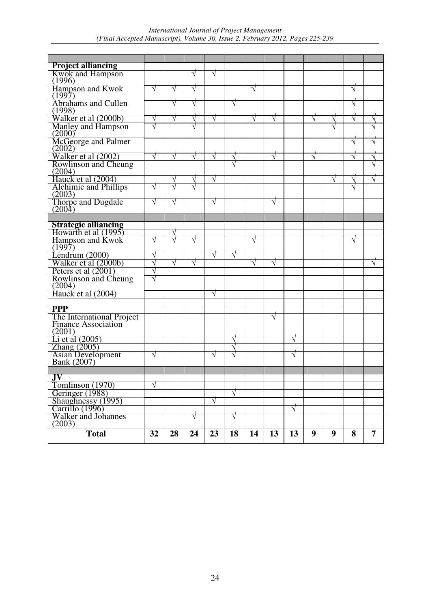| <b>Project alliancing</b>                                         |                       |                       |                       |                       |                       |                       |    |           |   |   |           |                |
|-------------------------------------------------------------------|-----------------------|-----------------------|-----------------------|-----------------------|-----------------------|-----------------------|----|-----------|---|---|-----------|----------------|
| Kwok and Hampson<br>(1996)                                        |                       |                       | $\sqrt{}$             | $\sqrt{}$             |                       |                       |    |           |   |   |           |                |
| Hampson and Kwok<br>(1997)                                        | $\overline{\sqrt{} }$ | V                     | $\overline{\sqrt{} }$ |                       |                       | V                     |    |           |   |   | V         |                |
| Abrahams and Cullen<br>(1998)                                     |                       | √                     | $\overline{\sqrt{} }$ |                       | $\overline{\sqrt{} }$ |                       |    |           |   |   | $\sqrt{}$ |                |
| Walker et al (2000b)                                              | ٦                     | V                     | √                     | $\sqrt{}$             |                       | $\sqrt{}$             | V  |           | V | V | V         |                |
| <b>Manley and Hampson</b><br>(2000)                               |                       |                       | √                     |                       |                       |                       |    |           |   |   |           |                |
| McGeorge and Palmer<br>(2002)                                     |                       |                       |                       |                       |                       |                       |    |           |   |   | $\sqrt{}$ | V              |
| Walker et al (2002)                                               | √                     | $\sqrt{}$             | $\overline{\sqrt{} }$ | $\overline{\sqrt{} }$ | V                     |                       | V  |           | V |   | V         |                |
| Rowlinson and Cheung<br>(2004)                                    |                       |                       |                       |                       |                       |                       |    |           |   |   |           |                |
| Hauck et al (2004)                                                |                       |                       | V                     | V                     |                       |                       |    |           |   | V |           | V              |
| Alchimie and Phillips<br>$\frac{(2003)}{7}$ Thorpe and Dugdale    | V                     |                       |                       |                       |                       |                       |    |           |   |   |           |                |
| (2004)                                                            | $\sqrt{}$             | √                     |                       | $\overline{\sqrt{2}}$ |                       |                       | √  |           |   |   |           |                |
|                                                                   |                       |                       |                       |                       |                       |                       |    |           |   |   |           |                |
| <b>Strategic alliancing</b>                                       |                       |                       |                       |                       |                       |                       |    |           |   |   |           |                |
| Howarth et al (1995)                                              | √                     | V                     | $\overline{\sqrt{} }$ |                       |                       | $\overline{\sqrt{2}}$ |    |           |   |   |           |                |
| Hampson and Kwok<br>(1997)                                        |                       |                       |                       |                       |                       |                       |    |           |   |   | $\sqrt{}$ |                |
| Lendrum (2000)                                                    | V<br>√                | $\overline{\sqrt{} }$ | $\overline{\sqrt{} }$ | $\sqrt{}$             | $\sqrt{}$             | $\overline{\sqrt{} }$ | √  |           |   |   |           |                |
| Walker et al (2000b)<br>Peters et al (2001)                       |                       |                       |                       |                       |                       |                       |    |           |   |   |           | V              |
| Rowlinson and Cheung                                              | V<br>V                |                       |                       |                       |                       |                       |    |           |   |   |           |                |
| (2004)<br>Hauck et al (2004)                                      |                       |                       |                       | V                     |                       |                       |    |           |   |   |           |                |
|                                                                   |                       |                       |                       |                       |                       |                       |    |           |   |   |           |                |
| <b>PPP</b>                                                        |                       |                       |                       |                       |                       |                       |    |           |   |   |           |                |
| The International Project<br><b>Finance Association</b><br>(2001) |                       |                       |                       |                       |                       |                       | V  |           |   |   |           |                |
| Li et al (2005)                                                   |                       |                       |                       |                       | V                     |                       |    | V         |   |   |           |                |
| Zhang $(2005)$                                                    |                       |                       |                       |                       | V                     |                       |    |           |   |   |           |                |
| Asian Development<br>Bank (2007)                                  | $\overline{\sqrt{} }$ |                       |                       | V                     |                       |                       |    | $\sqrt{}$ |   |   |           |                |
|                                                                   |                       |                       |                       |                       |                       |                       |    |           |   |   |           |                |
|                                                                   |                       |                       |                       |                       |                       |                       |    |           |   |   |           |                |
| $\overline{\mathbf{J}\mathbf{V}}$<br>Tomlinson (1970)             | $\overline{\sqrt{} }$ |                       |                       |                       |                       |                       |    |           |   |   |           |                |
| Geringer (1988)                                                   |                       |                       |                       |                       | √                     |                       |    |           |   |   |           |                |
| Shaughnessy (1995)                                                |                       |                       |                       | $\overline{\sqrt{} }$ |                       |                       |    |           |   |   |           |                |
| Carrillo (1996)                                                   |                       |                       |                       |                       |                       |                       |    | V         |   |   |           |                |
| <b>Walker and Johannes</b><br>(2003)                              |                       |                       | $\sqrt{}$             |                       | $\overline{\sqrt{} }$ |                       |    |           |   |   |           |                |
| <b>Total</b>                                                      | 32                    | 28                    | 24                    | 23                    | 18                    | 14                    | 13 | 13        | 9 | 9 | 8         | $\overline{7}$ |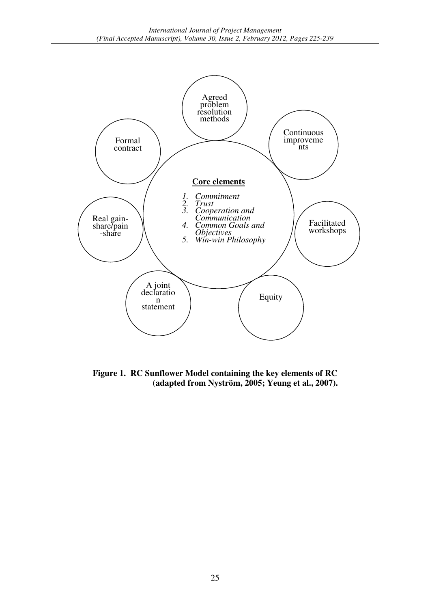

**Figure 1. RC Sunflower Model containing the key elements of RC (adapted from Nyström, 2005; Yeung et al., 2007).**